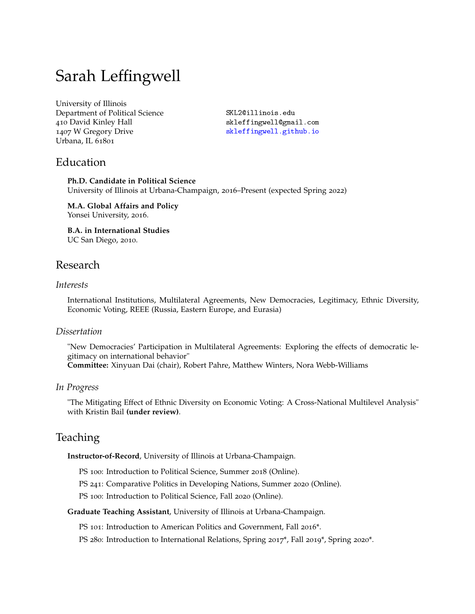# Sarah Leffingwell

University of Illinois Department of Political Science 410 David Kinley Hall 1407 W Gregory Drive Urbana, IL 61801

[SKL2@illinois.edu](mailto:SKL2@illinois.edu) [skleffingwell@gmail.com](mailto:skleffingwell@gmail.com) [skleffingwell.github.io](https://skleffingwell.github.io/)

## Education

**Ph.D. Candidate in Political Science** University of Illinois at Urbana-Champaign, 2016–Present (expected Spring 2022)

**M.A. Global Affairs and Policy** Yonsei University, 2016.

**B.A. in International Studies** UC San Diego, 2010.

# Research

#### *Interests*

International Institutions, Multilateral Agreements, New Democracies, Legitimacy, Ethnic Diversity, Economic Voting, REEE (Russia, Eastern Europe, and Eurasia)

#### *Dissertation*

"New Democracies' Participation in Multilateral Agreements: Exploring the effects of democratic legitimacy on international behavior" **Committee:** Xinyuan Dai (chair), Robert Pahre, Matthew Winters, Nora Webb-Williams

### *In Progress*

"The Mitigating Effect of Ethnic Diversity on Economic Voting: A Cross-National Multilevel Analysis" with Kristin Bail **(under review)**.

# **Teaching**

**Instructor-of-Record**, University of Illinois at Urbana-Champaign.

PS 100: Introduction to Political Science, Summer 2018 (Online).

PS 241: Comparative Politics in Developing Nations, Summer 2020 (Online).

PS 100: Introduction to Political Science, Fall 2020 (Online).

#### **Graduate Teaching Assistant**, University of Illinois at Urbana-Champaign.

PS 101: Introduction to American Politics and Government, Fall 2016\*.

PS 280: Introduction to International Relations, Spring 2017\*, Fall 2019\*, Spring 2020\*.